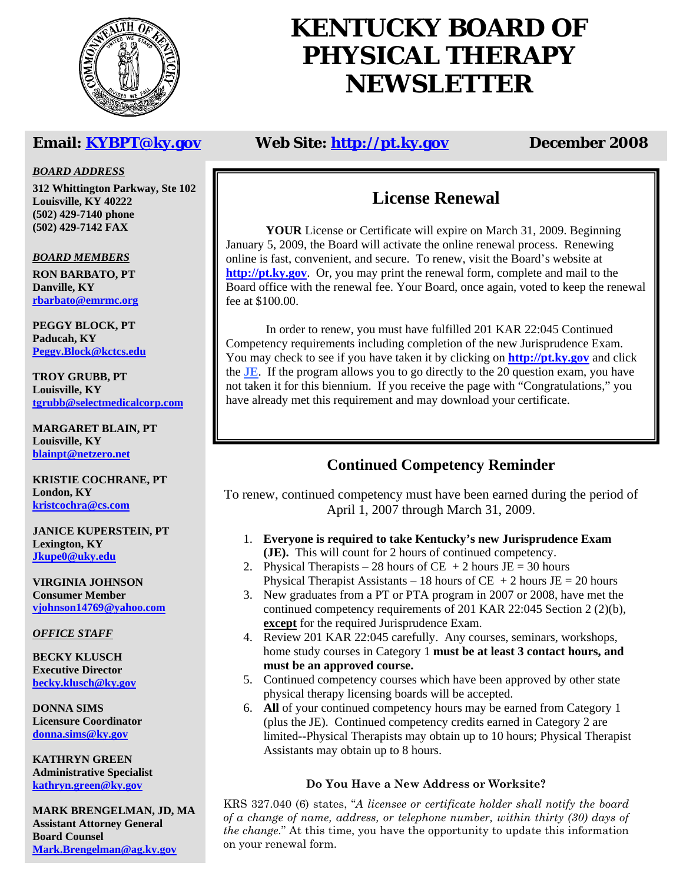

# **KENTUCKY BOARD OF PHYSICAL THERAPY NEWSLETTER**

## **Email: KYBPT@ky.gov Web Site: http://pt.ky.gov December 2008**

#### *BOARD ADDRESS*

**312 Whittington Parkway, Ste 102 Louisville, KY 40222 (502) 429-7140 phone (502) 429-7142 FAX** 

#### *BOARD MEMBERS*

**RON BARBATO, PT Danville, KY rbarbato@emrmc.org**

**PEGGY BLOCK, PT Paducah, KY Peggy.Block@kctcs.edu**

**TROY GRUBB, PT Louisville, KY tgrubb@selectmedicalcorp.com**

**MARGARET BLAIN, PT Louisville, KY blainpt@netzero.net**

**KRISTIE COCHRANE, PT London, KY kristcochra@cs.com**

**JANICE KUPERSTEIN, PT Lexington, KY Jkupe0@uky.edu**

**VIRGINIA JOHNSON Consumer Member vjohnson14769@yahoo.com**

*OFFICE STAFF*

**BECKY KLUSCH Executive Director becky.klusch@ky.gov**

**DONNA SIMS Licensure Coordinator donna.sims@ky.gov**

**KATHRYN GREEN Administrative Specialist kathryn.green@ky.gov**

**MARK BRENGELMAN, JD, MA Assistant Attorney General Board Counsel Mark.Brengelman@ag.ky.gov**

# **License Renewal**

**YOUR** License or Certificate will expire on March 31, 2009. Beginning January 5, 2009, the Board will activate the online renewal process. Renewing online is fast, convenient, and secure. To renew, visit the Board's website at **http://pt.ky.gov**. Or, you may print the renewal form, complete and mail to the Board office with the renewal fee. Your Board, once again, voted to keep the renewal fee at \$100.00.

 In order to renew, you must have fulfilled 201 KAR 22:045 Continued Competency requirements including completion of the new Jurisprudence Exam. You may check to see if you have taken it by clicking on **http://pt.ky.gov** and click the **JE**. If the program allows you to go directly to the 20 question exam, you have not taken it for this biennium. If you receive the page with "Congratulations," you have already met this requirement and may download your certificate.

# **Continued Competency Reminder**

To renew, continued competency must have been earned during the period of April 1, 2007 through March 31, 2009.

- 1. **Everyone is required to take Kentucky's new Jurisprudence Exam (JE).** This will count for 2 hours of continued competency.
- 2. Physical Therapists 28 hours of CE + 2 hours  $JE = 30$  hours Physical Therapist Assistants – 18 hours of CE  $+2$  hours JE = 20 hours
- 3. New graduates from a PT or PTA program in 2007 or 2008, have met the continued competency requirements of 201 KAR 22:045 Section 2 (2)(b), **except** for the required Jurisprudence Exam.
- 4. Review 201 KAR 22:045 carefully. Any courses, seminars, workshops, home study courses in Category 1 **must be at least 3 contact hours, and must be an approved course.**
- 5. Continued competency courses which have been approved by other state physical therapy licensing boards will be accepted.
- 6. **All** of your continued competency hours may be earned from Category 1 (plus the JE). Continued competency credits earned in Category 2 are limited--Physical Therapists may obtain up to 10 hours; Physical Therapist Assistants may obtain up to 8 hours.

#### **Do You Have a New Address or Worksite?**

KRS 327.040 (6) states, "*A licensee or certificate holder shall notify the board of a change of name, address, or telephone number, within thirty (30) days of the change.*" At this time, you have the opportunity to update this information on your renewal form.